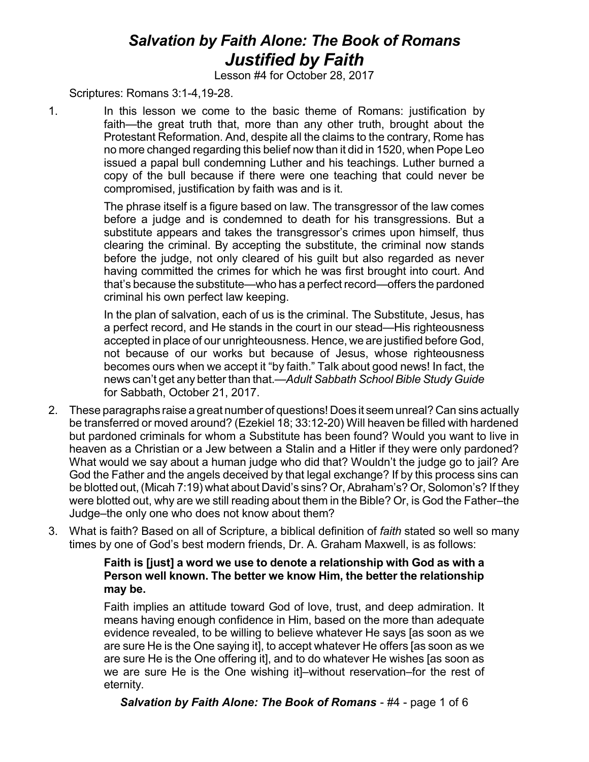## *Salvation by Faith Alone: The Book of Romans Justified by Faith*

Lesson #4 for October 28, 2017

Scriptures: Romans 3:1-4,19-28.

1. In this lesson we come to the basic theme of Romans: justification by faith—the great truth that, more than any other truth, brought about the Protestant Reformation. And, despite all the claims to the contrary, Rome has no more changed regarding this belief now than it did in 1520, when Pope Leo issued a papal bull condemning Luther and his teachings. Luther burned a copy of the bull because if there were one teaching that could never be compromised, justification by faith was and is it.

> The phrase itself is a figure based on law. The transgressor of the law comes before a judge and is condemned to death for his transgressions. But a substitute appears and takes the transgressor's crimes upon himself, thus clearing the criminal. By accepting the substitute, the criminal now stands before the judge, not only cleared of his guilt but also regarded as never having committed the crimes for which he was first brought into court. And that's because the substitute—who has a perfect record—offers the pardoned criminal his own perfect law keeping.

> In the plan of salvation, each of us is the criminal. The Substitute, Jesus, has a perfect record, and He stands in the court in our stead—His righteousness accepted in place of our unrighteousness. Hence, we are justified before God, not because of our works but because of Jesus, whose righteousness becomes ours when we accept it "by faith." Talk about good news! In fact, the news can't get any better than that.—*Adult Sabbath School Bible Study Guide* for Sabbath, October 21, 2017.

- 2. These paragraphs raise a great number of questions! Does it seem unreal? Can sins actually be transferred or moved around? (Ezekiel 18; 33:12-20) Will heaven be filled with hardened but pardoned criminals for whom a Substitute has been found? Would you want to live in heaven as a Christian or a Jew between a Stalin and a Hitler if they were only pardoned? What would we say about a human judge who did that? Wouldn't the judge go to jail? Are God the Father and the angels deceived by that legal exchange? If by this process sins can be blotted out,(Micah 7:19) what about David's sins? Or, Abraham's? Or, Solomon's? If they were blotted out, why are we still reading about them in the Bible? Or, is God the Father–the Judge–the only one who does not know about them?
- 3. What is faith? Based on all of Scripture, a biblical definition of *faith* stated so well so many times by one of God's best modern friends, Dr. A. Graham Maxwell, is as follows:

## **Faith is [just] a word we use to denote a relationship with God as with a Person well known. The better we know Him, the better the relationship may be.**

Faith implies an attitude toward God of love, trust, and deep admiration. It means having enough confidence in Him, based on the more than adequate evidence revealed, to be willing to believe whatever He says [as soon as we are sure He is the One saying it], to accept whatever He offers [as soon as we are sure He is the One offering it], and to do whatever He wishes [as soon as we are sure He is the One wishing it]–without reservation–for the rest of eternity.

*Salvation by Faith Alone: The Book of Romans* - #4 - page 1 of 6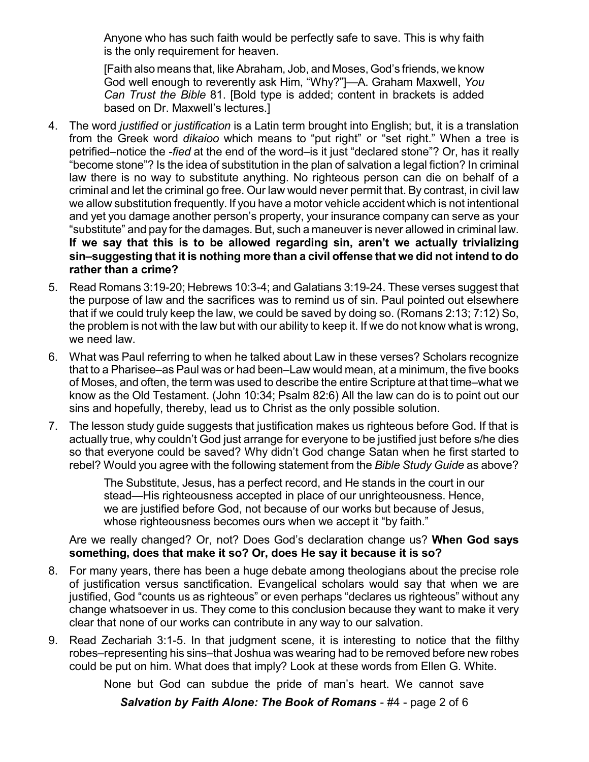Anyone who has such faith would be perfectly safe to save. This is why faith is the only requirement for heaven.

[Faith also means that, like Abraham, Job, and Moses, God's friends, we know God well enough to reverently ask Him, "Why?"]—A. Graham Maxwell, *You Can Trust the Bible* 81. [Bold type is added; content in brackets is added based on Dr. Maxwell's lectures.]

- 4. The word *justified* or *justification* is a Latin term brought into English; but, it is a translation from the Greek word *dikaioo* which means to "put right" or "set right." When a tree is petrified–notice the *-fied* at the end of the word–is it just "declared stone"? Or, has it really "become stone"? Is the idea of substitution in the plan of salvation a legal fiction? In criminal law there is no way to substitute anything. No righteous person can die on behalf of a criminal and let the criminal go free. Our law would never permit that. By contrast, in civil law we allow substitution frequently. If you have a motor vehicle accident which is not intentional and yet you damage another person's property, your insurance company can serve as your "substitute" and pay for the damages. But, such a maneuver is never allowed in criminal law. **If we say that this is to be allowed regarding sin, aren't we actually trivializing sin–suggesting that it is nothing more than a civil offense that we did not intend to do rather than a crime?**
- 5. Read Romans 3:19-20; Hebrews 10:3-4; and Galatians 3:19-24. These verses suggest that the purpose of law and the sacrifices was to remind us of sin. Paul pointed out elsewhere that if we could truly keep the law, we could be saved by doing so. (Romans 2:13; 7:12) So, the problem is not with the law but with our ability to keep it. If we do not know what is wrong, we need law.
- 6. What was Paul referring to when he talked about Law in these verses? Scholars recognize that to a Pharisee–as Paul was or had been–Law would mean, at a minimum, the five books of Moses, and often, the term was used to describe the entire Scripture at that time–what we know as the Old Testament. (John 10:34; Psalm 82:6) All the law can do is to point out our sins and hopefully, thereby, lead us to Christ as the only possible solution.
- 7. The lesson study guide suggests that justification makes us righteous before God. If that is actually true, why couldn't God just arrange for everyone to be justified just before s/he dies so that everyone could be saved? Why didn't God change Satan when he first started to rebel? Would you agree with the following statement from the *Bible Study Guide* as above?

The Substitute, Jesus, has a perfect record, and He stands in the court in our stead—His righteousness accepted in place of our unrighteousness. Hence, we are justified before God, not because of our works but because of Jesus, whose righteousness becomes ours when we accept it "by faith."

Are we really changed? Or, not? Does God's declaration change us? **When God says something, does that make it so? Or, does He say it because it is so?**

- 8. For many years, there has been a huge debate among theologians about the precise role of justification versus sanctification. Evangelical scholars would say that when we are justified, God "counts us as righteous" or even perhaps "declares us righteous" without any change whatsoever in us. They come to this conclusion because they want to make it very clear that none of our works can contribute in any way to our salvation.
- 9. Read Zechariah 3:1-5. In that judgment scene, it is interesting to notice that the filthy robes–representing his sins–that Joshua was wearing had to be removed before new robes could be put on him. What does that imply? Look at these words from Ellen G. White.

None but God can subdue the pride of man's heart. We cannot save

*Salvation by Faith Alone: The Book of Romans* - #4 - page 2 of 6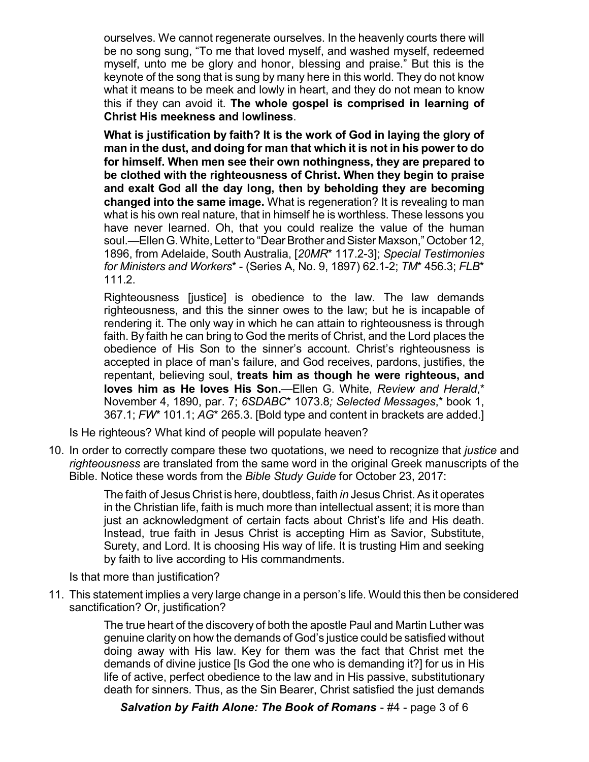ourselves. We cannot regenerate ourselves. In the heavenly courts there will be no song sung, "To me that loved myself, and washed myself, redeemed myself, unto me be glory and honor, blessing and praise." But this is the keynote of the song that is sung by many here in this world. They do not know what it means to be meek and lowly in heart, and they do not mean to know this if they can avoid it. **The whole gospel is comprised in learning of Christ His meekness and lowliness**.

**What is justification by faith? It is the work of God in laying the glory of man in the dust, and doing for man that which it is not in his power to do for himself. When men see their own nothingness, they are prepared to be clothed with the righteousness of Christ. When they begin to praise and exalt God all the day long, then by beholding they are becoming changed into the same image.** What is regeneration? It is revealing to man what is his own real nature, that in himself he is worthless. These lessons you have never learned. Oh, that you could realize the value of the human soul.—Ellen G. White, Letter to "Dear Brother and Sister Maxson," October 12, 1896, from Adelaide, South Australia, [*20MR*\* 117.2-3]; *Special Testimonies for Ministers and Workers*\* - (Series A, No. 9, 1897) 62.1-2; *TM*\* 456.3; *FLB*\* 111.2.

Righteousness [justice] is obedience to the law. The law demands righteousness, and this the sinner owes to the law; but he is incapable of rendering it. The only way in which he can attain to righteousness is through faith. By faith he can bring to God the merits of Christ, and the Lord places the obedience of His Son to the sinner's account. Christ's righteousness is accepted in place of man's failure, and God receives, pardons, justifies, the repentant, believing soul, **treats him as though he were righteous, and loves him as He loves His Son.**—Ellen G. White, *Review and Herald*,\* November 4, 1890, par. 7; *6SDABC*\* 1073.8*; Selected Messages*,\* book 1, 367.1; *FW*\* 101.1; *AG*\* 265.3. [Bold type and content in brackets are added.]

Is He righteous? What kind of people will populate heaven?

10. In order to correctly compare these two quotations, we need to recognize that *justice* and *righteousness* are translated from the same word in the original Greek manuscripts of the Bible. Notice these words from the *Bible Study Guide* for October 23, 2017:

> The faith of Jesus Christ is here, doubtless, faith *in* Jesus Christ. As it operates in the Christian life, faith is much more than intellectual assent; it is more than just an acknowledgment of certain facts about Christ's life and His death. Instead, true faith in Jesus Christ is accepting Him as Savior, Substitute, Surety, and Lord. It is choosing His way of life. It is trusting Him and seeking by faith to live according to His commandments.

Is that more than justification?

11. This statement implies a very large change in a person's life. Would this then be considered sanctification? Or, justification?

> The true heart of the discovery of both the apostle Paul and Martin Luther was genuine clarity on how the demands of God's justice could be satisfied without doing away with His law. Key for them was the fact that Christ met the demands of divine justice [Is God the one who is demanding it?] for us in His life of active, perfect obedience to the law and in His passive, substitutionary death for sinners. Thus, as the Sin Bearer, Christ satisfied the just demands

*Salvation by Faith Alone: The Book of Romans* - #4 - page 3 of 6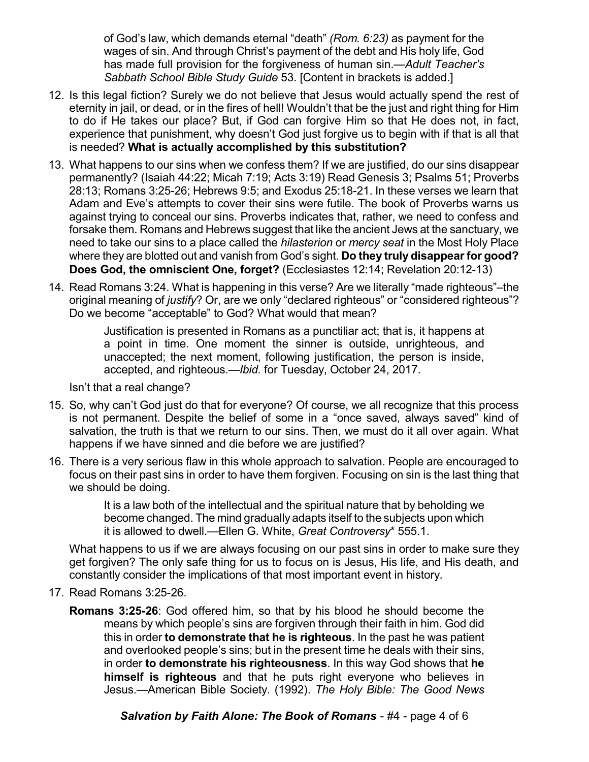of God's law, which demands eternal "death" *(Rom. 6:23)* as payment for the wages of sin. And through Christ's payment of the debt and His holy life, God has made full provision for the forgiveness of human sin.—*Adult Teacher's Sabbath School Bible Study Guide* 53. [Content in brackets is added.]

- 12. Is this legal fiction? Surely we do not believe that Jesus would actually spend the rest of eternity in jail, or dead, or in the fires of hell! Wouldn't that be the just and right thing for Him to do if He takes our place? But, if God can forgive Him so that He does not, in fact, experience that punishment, why doesn't God just forgive us to begin with if that is all that is needed? **What is actually accomplished by this substitution?**
- 13. What happens to our sins when we confess them? If we are justified, do our sins disappear permanently? (Isaiah 44:22; Micah 7:19; Acts 3:19) Read Genesis 3; Psalms 51; Proverbs 28:13; Romans 3:25-26; Hebrews 9:5; and Exodus 25:18-21. In these verses we learn that Adam and Eve's attempts to cover their sins were futile. The book of Proverbs warns us against trying to conceal our sins. Proverbs indicates that, rather, we need to confess and forsake them. Romans and Hebrews suggest that like the ancient Jews at the sanctuary, we need to take our sins to a place called the *hilasterion* or *mercy seat* in the Most Holy Place where they are blotted out and vanish from God's sight. **Do they truly disappearfor good? Does God, the omniscient One, forget?** (Ecclesiastes 12:14; Revelation 20:12-13)
- 14. Read Romans 3:24. What is happening in this verse? Are we literally "made righteous"–the original meaning of *justify*? Or, are we only "declared righteous" or "considered righteous"? Do we become "acceptable" to God? What would that mean?

Justification is presented in Romans as a punctiliar act; that is, it happens at a point in time. One moment the sinner is outside, unrighteous, and unaccepted; the next moment, following justification, the person is inside, accepted, and righteous.—*Ibid.* for Tuesday, October 24, 2017.

Isn't that a real change?

- 15. So, why can't God just do that for everyone? Of course, we all recognize that this process is not permanent. Despite the belief of some in a "once saved, always saved" kind of salvation, the truth is that we return to our sins. Then, we must do it all over again. What happens if we have sinned and die before we are justified?
- 16. There is a very serious flaw in this whole approach to salvation. People are encouraged to focus on their past sins in order to have them forgiven. Focusing on sin is the last thing that we should be doing.

It is a law both of the intellectual and the spiritual nature that by beholding we become changed. The mind gradually adapts itself to the subjects upon which it is allowed to dwell.—Ellen G. White, *Great Controversy*\* 555.1.

What happens to us if we are always focusing on our past sins in order to make sure they get forgiven? The only safe thing for us to focus on is Jesus, His life, and His death, and constantly consider the implications of that most important event in history.

- 17. Read Romans 3:25-26.
	- **Romans 3:25-26**: God offered him, so that by his blood he should become the means by which people's sins are forgiven through their faith in him. God did this in order **to demonstrate that he is righteous**. In the past he was patient and overlooked people's sins; but in the present time he deals with their sins, in order **to demonstrate his righteousness**. In this way God shows that **he himself is righteous** and that he puts right everyone who believes in Jesus.—American Bible Society. (1992). *The Holy Bible: The Good News*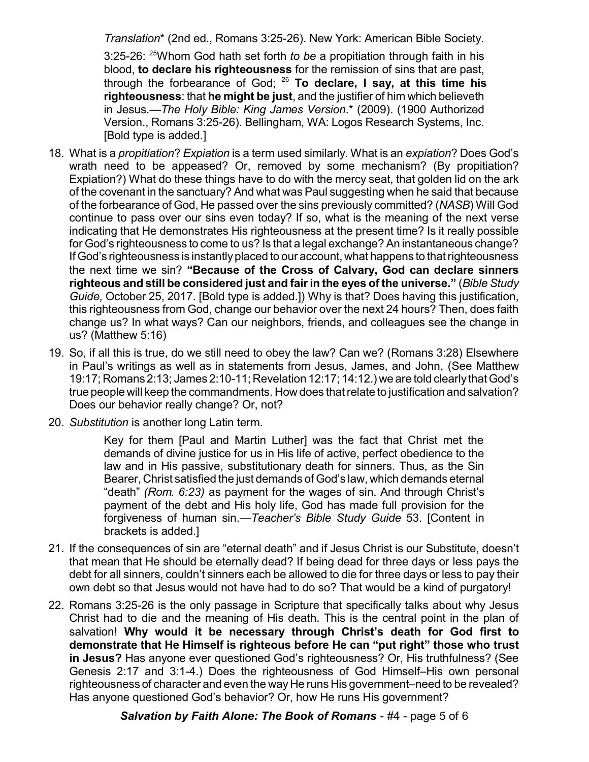*Translation*\* (2nd ed., Romans 3:25-26). New York: American Bible Society.

3:25-26: <sup>25</sup>Whom God hath set forth *to be* a propitiation through faith in his blood, **to declare his righteousness** for the remission of sins that are past, through the forbearance of God; <sup>26</sup> **To declare, I say, at this time his righteousness**: that **he might be just**, and the justifier of him which believeth in Jesus.—*The Holy Bible: King James Version*.\* (2009). (1900 Authorized Version., Romans 3:25-26). Bellingham, WA: Logos Research Systems, Inc. [Bold type is added.]

- 18. What is a *propitiation*? *Expiation* is a term used similarly. What is an *expiation*? Does God's wrath need to be appeased? Or, removed by some mechanism? (By propitiation? Expiation?) What do these things have to do with the mercy seat, that golden lid on the ark of the covenant in the sanctuary? And what was Paul suggesting when he said that because of the forbearance of God, He passed over the sins previously committed? (*NASB*) Will God continue to pass over our sins even today? If so, what is the meaning of the next verse indicating that He demonstrates His righteousness at the present time? Is it really possible for God's righteousness to come to us? Is that a legal exchange? An instantaneous change? If God's righteousness is instantlyplaced to our account, what happens to thatrighteousness the next time we sin? **"Because of the Cross of Calvary, God can declare sinners righteous and still be considered just and fairin the eyes of the universe."** (*Bible Study Guide,* October 25, 2017. [Bold type is added.]) Why is that? Does having this justification, this righteousness from God, change our behavior over the next 24 hours? Then, does faith change us? In what ways? Can our neighbors, friends, and colleagues see the change in us? (Matthew 5:16)
- 19. So, if all this is true, do we still need to obey the law? Can we? (Romans 3:28) Elsewhere in Paul's writings as well as in statements from Jesus, James, and John, (See Matthew 19:17; Romans 2:13; James 2:10-11; Revelation 12:17; 14:12.) we are told clearly thatGod's true people will keep the commandments. How does thatrelate to justification and salvation? Does our behavior really change? Or, not?
- 20. *Substitution* is another long Latin term.

Key for them [Paul and Martin Luther] was the fact that Christ met the demands of divine justice for us in His life of active, perfect obedience to the law and in His passive, substitutionary death for sinners. Thus, as the Sin Bearer, Christ satisfied the just demands of God's law, which demands eternal "death" *(Rom. 6:23)* as payment for the wages of sin. And through Christ's payment of the debt and His holy life, God has made full provision for the forgiveness of human sin.—*Teacher's Bible Study Guide* 53. [Content in brackets is added.]

- 21. If the consequences of sin are "eternal death" and if Jesus Christ is our Substitute, doesn't that mean that He should be eternally dead? If being dead for three days or less pays the debt for all sinners, couldn't sinners each be allowed to die for three days or less to pay their own debt so that Jesus would not have had to do so? That would be a kind of purgatory!
- 22. Romans 3:25-26 is the only passage in Scripture that specifically talks about why Jesus Christ had to die and the meaning of His death. This is the central point in the plan of salvation! **Why would it be necessary through Christ's death for God first to demonstrate that He Himself is righteous before He can "put right" those who trust in Jesus?** Has anyone ever questioned God's righteousness? Or, His truthfulness? (See Genesis 2:17 and 3:1-4.) Does the righteousness of God Himself–His own personal righteousness of character and even the way He runs His government–need to be revealed? Has anyone questioned God's behavior? Or, how He runs His government?